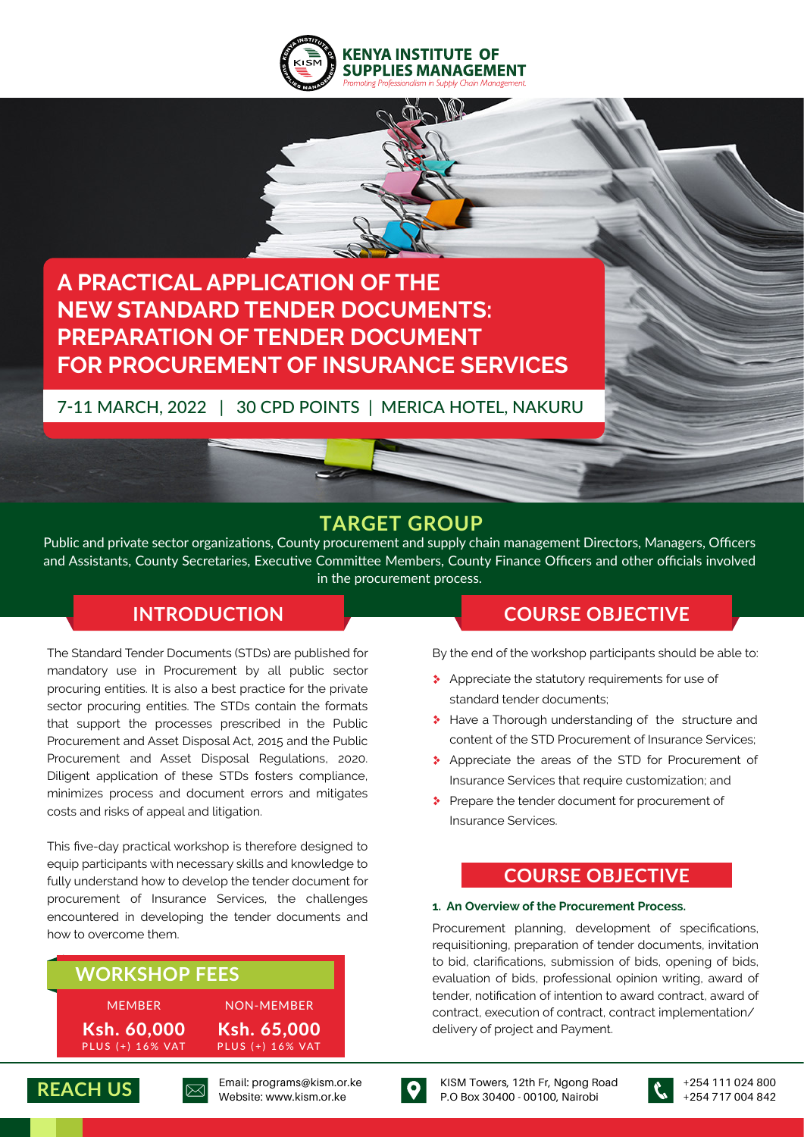



# **A PRACTICAL APPLICATION OF THE NEW STANDARD TENDER DOCUMENTS: PREPARATION OF TENDER DOCUMENT FOR PROCUREMENT OF INSURANCE SERVICES**

## 7-11 MARCH, 2022 | 30 CPD POINTS | MERICA HOTEL, NAKURU

## **TARGET GROUP**

Public and private sector organizations, County procurement and supply chain management Directors, Managers, Officers and Assistants, County Secretaries, Executive Committee Members, County Finance Officers and other officials involved in the procurement process.

The Standard Tender Documents (STDs) are published for mandatory use in Procurement by all public sector procuring entities. It is also a best practice for the private sector procuring entities. The STDs contain the formats that support the processes prescribed in the Public Procurement and Asset Disposal Act, 2015 and the Public Procurement and Asset Disposal Regulations, 2020. Diligent application of these STDs fosters compliance, minimizes process and document errors and mitigates costs and risks of appeal and litigation.

This five-day practical workshop is therefore designed to equip participants with necessary skills and knowledge to fully understand how to develop the tender document for procurement of Insurance Services, the challenges encountered in developing the tender documents and how to overcome them.

## **WORKSHOP FEES**

MEMBER PLUS (+) 16% VAT Ksh. 60,000 PLUS (+) 16% VAT Ksh. 65,000 NON-MEMBER





KISM Towers, 12th Fr, Ngong Road P.O Box 30400 - 00100, Nairobi



## **INTRODUCTION COURSE OBJECTIVE**

By the end of the workshop participants should be able to:

- \* Appreciate the statutory requirements for use of standard tender documents;
- \* Have a Thorough understanding of the structure and content of the STD Procurement of Insurance Services;
- \* Appreciate the areas of the STD for Procurement of Insurance Services that require customization; and
- Prepare the tender document for procurement of Insurance Services.

## **COURSE OBJECTIVE**

#### **1. An Overview of the Procurement Process.**

Procurement planning, development of specifications, requisitioning, preparation of tender documents, invitation to bid, clarifications, submission of bids, opening of bids, evaluation of bids, professional opinion writing, award of tender, notification of intention to award contract, award of contract, execution of contract, contract implementation/ delivery of project and Payment.